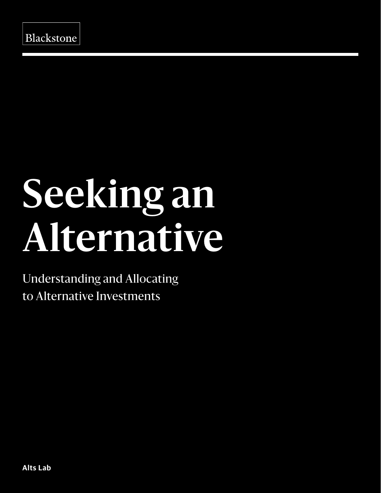# **Seeking an Alternative**

Understanding and Allocating to Alternative Investments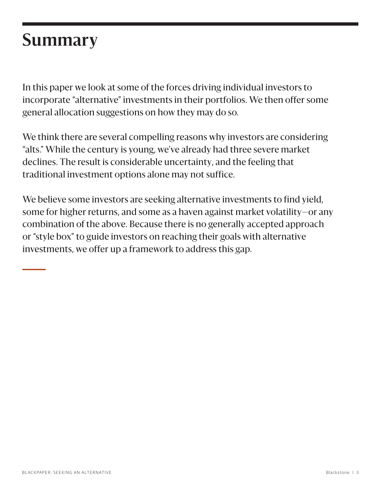### **Summary**

In this paper we look at some of the forces driving individual investors to incorporate "alternative" investments in their portfolios. We then offer some general allocation suggestions on how they may do so.

We think there are several compelling reasons why investors are considering "alts." While the century is young, we've already had three severe market declines. The result is considerable uncertainty, and the feeling that traditional investment options alone may not suffice.

We believe some investors are seeking alternative investments to find yield, some for higher returns, and some as a haven against market volatility—or any combination of the above. Because there is no generally accepted approach or "style box" to guide investors on reaching their goals with alternative investments, we offer up a framework to address this gap.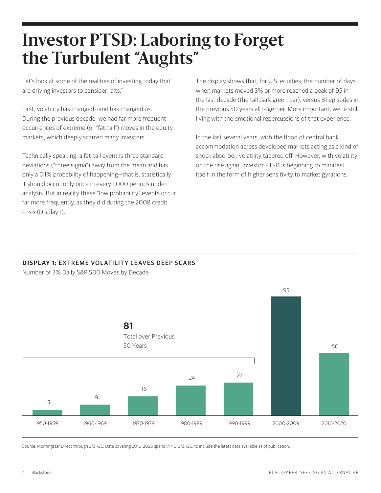### **Investor PTSD: Laboring to Forget the Turbulent "Aughts"**

Let's look at some of the realities of investing today that are driving investors to consider "alts."

First, volatility has changed—and has changed us. During the previous decade, we had far more frequent occurrences of extreme (or "fat-tail") moves in the equity markets, which deeply scarred many investors.

Technically speaking, a fat-tail event is three standard deviations ("three sigma") away from the mean and has only a 0.1% probability of happening—that is, statistically it should occur only once in every 1,000 periods under analysis. But in reality these "low probability" events occur far more frequently, as they did during the 2008 credit crisis (Display 1).

The display shows that, for U.S. equities, the number of days when markets moved 3% or more reached a peak of 95 in the last decade (the tall dark green bar), versus 81 episodes in the previous 50 years all together. More important, we're still living with the emotional repercussions of that experience.

In the last several years, with the flood of central bank accommodation across developed markets acting as a kind of shock absorber, volatility tapered off. However, with volatility on the rise again, investor PTSD is beginning to manifest itself in the form of higher sensitivity to market gyrations.

#### **DISPLAY 1: EXTREME VOLATILITY LEAVES DEEP SCARS**

Number of 3% Daily S&P 500 Moves by Decade



Source: Morningstar Direct through 3/31/20. Data covering 2010-2020 spans 1/1/10-3/31/20, to include the latest data available as of publication.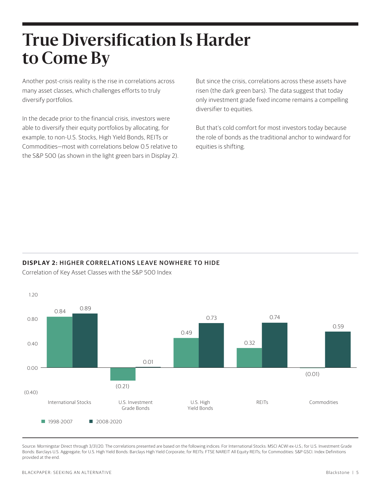### **True Diversification Is Harder to Come By**

Another post-crisis reality is the rise in correlations across many asset classes, which challenges efforts to truly diversify portfolios.

In the decade prior to the financial crisis, investors were able to diversify their equity portfolios by allocating, for example, to non-U.S. Stocks, High Yield Bonds, REITs or Commodities—most with correlations below 0.5 relative to the S&P 500 (as shown in the light green bars in Display 2). But since the crisis, correlations across these assets have risen (the dark green bars). The data suggest that today only investment grade fixed income remains a compelling diversifier to equities.

But that's cold comfort for most investors today because the role of bonds as the traditional anchor to windward for equities is shifting.

#### **DISPLAY 2: HIGHER CORRELATIONS LEAVE NOWHERE TO HIDE**



Correlation of Key Asset Classes with the S&P 500 Index

Source: Morningstar Direct through 3/31/20. The correlations presented are based on the following indices: For International Stocks: MSCI ACWI ex-U.S.; for U.S. Investment Grade Bonds: Barclays U.S. Aggregate; for U.S. High Yield Bonds: Barclays High Yield Corporate; for REITs: FTSE NAREIT All Equity REITs; for Commodities: S&P GSCI. Index Definitions provided at the end.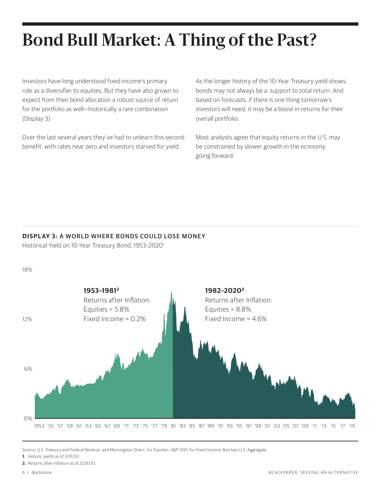# **Bond Bull Market: A Thing of the Past?**

Investors have long understood fixed income's primary role as a diversifier to equities. But they have also grown to expect from their bond allocation a robust source of return for the portfolio as well—historically a rare combination (Display 3).

Over the last several years they've had to unlearn this second benefit, with rates near zero and investors starved for yield.

As the longer history of the 10-Year Treasury yield shows, bonds may not always be a support to total return. And based on forecasts, if there is one thing tomorrow's investors will need, it may be a boost in returns for their overall portfolio.

Most analysts agree that equity returns in the U.S. may be constrained by slower growth in the economy going forward.

#### **DISPL AY 3:** A WORLD WHERE BONDS COULD LOSE MONEY

Historical Yield on 10-Year Treasury Bond, 1953-2020<sup>1</sup>

18%



Source: U.S. Treasury and Federal Reserve, and Morningstar Direct. For Equities: S&P 500; for Fixed Income: Barclays U.S. Aggregate.

- **1.** Historic yields as of 3/31/20.
- **2.** Returns after inflation as of 2/29/20.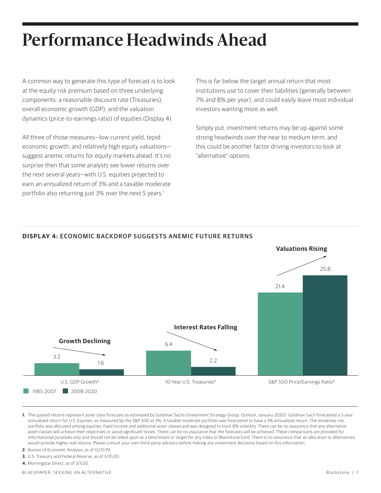# **Performance Headwinds Ahead**

A common way to generate this type of forecast is to look at the equity risk premium based on three underlying components: a reasonable discount rate (Treasuries), overall economic growth (GDP), and the valuation dynamics (price-to-earnings ratio) of equities (Display 4).

All three of those measures—low current yield, tepid economic growth, and relatively high equity valuations suggest anemic returns for equity markets ahead. It's no surprise then that some analysts see lower returns over the next several years—with U.S. equities projected to earn an annualized return of 3% and a taxable moderate portfolio also returning just 3% over the next 5 years.<sup>1</sup>

This is far below the target annual return that most institutions use to cover their liabilities (generally between 7% and 8% per year), and could easily leave most individual investors wanting more as well.

Simply put, investment returns may be up against some strong headwinds over the near to medium term, and this could be another factor driving investors to look at "alternative" options.



#### **DISPL AY 4:** ECONOMIC BACKDROP SUGGESTS ANEMIC FUTURE RETURNS

**1.** The quoted returns represent asset class forecasts as estimated by Goldman Sachs (Investment Strategy Group: Outlook, January 2020). Goldman Sach forecasted a 5-year annualized return for U.S. Equities, as measured by the S&P 500 at 3%. A taxable moderate portfolio was forecasted to have a 3% annualized return. The moderate risk portfolio was allocated among equities, fixed income and additional asset classes and was designed to track 8% volatility. There can be no assurance that any alternative asset classes will achieve their objectives or avoid significant losses. There can be no assurance that the forecasts will be achieved. These comparisons are provided for informational purposes only and should not be relied upon as a benchmark or target for any index or Blackstone fund. There is no assurance that an allocation to alternatives would provide higher real returns. Please consult your own third-party advisors before making any investment decisions based on this information.

- **2.** Bureau of Economic Analysis, as of 12/31/19.
- **3.** U.S. Treasury and Federal Reserve, as of 3/31/20.
- **4.** Morningstar Direct, as of 3/1/20.

BLACKPAPER: SEEKING AN ALTERNATIVE Blackstone | 7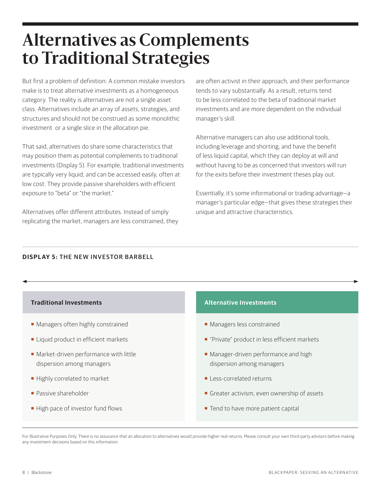### **Alternatives as Complements to Traditional Strategies**

But first a problem of definition: A common mistake investors make is to treat alternative investments as a homogeneous category. The reality is alternatives are not a single asset class. Alternatives include an array of assets, strategies, and structures and should not be construed as some monolithic investment or a single slice in the allocation pie.

That said, alternatives do share some characteristics that may position them as potential complements to traditional investments (Display 5). For example, traditional investments are typically very liquid, and can be accessed easily, often at low cost: They provide passive shareholders with efficient exposure to "beta" or "the market."

Alternatives offer different attributes. Instead of simply replicating the market, managers are less constrained, they are often activist in their approach, and their performance tends to vary substantially. As a result, returns tend to be less correlated to the beta of traditional market investments and are more dependent on the individual manager's skill.

Alternative managers can also use additional tools, including leverage and shorting, and have the benefit of less liquid capital, which they can deploy at will and without having to be as concerned that investors will run for the exits before their investment theses play out.

Essentially, it's some informational or trading advantage—a manager's particular edge—that gives these strategies their unique and attractive characteristics.

#### **DISPL AY 5:** THE NEW INVESTOR BARBELL

| <b>Traditional Investments</b>                                       | <b>Alternative Investments</b>                                     |  |  |  |  |
|----------------------------------------------------------------------|--------------------------------------------------------------------|--|--|--|--|
| • Managers often highly constrained                                  | • Managers less constrained                                        |  |  |  |  |
| Liquid product in efficient markets                                  | "Private" product in less efficient markets                        |  |  |  |  |
| • Market-driven performance with little<br>dispersion among managers | • Manager-driven performance and high<br>dispersion among managers |  |  |  |  |
| Highly correlated to market                                          | • Less-correlated returns                                          |  |  |  |  |
| • Passive shareholder                                                | Greater activism, even ownership of assets                         |  |  |  |  |
| High pace of investor fund flows                                     | Tend to have more patient capital                                  |  |  |  |  |

For Illustrative Purposes Only. There is no assurance that an allocation to alternatives would provide higher real returns. Please consult your own third-party advisors before making any investment decisions based on this information.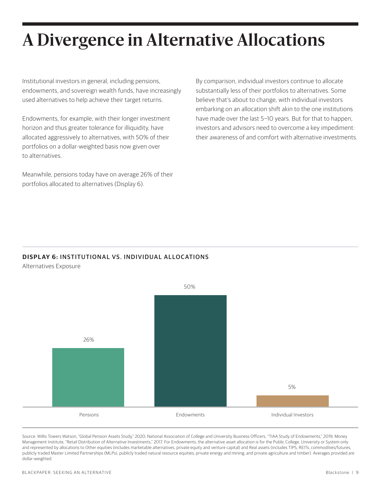# **A Divergence in Alternative Allocations**

Institutional investors in general, including pensions, endowments, and sovereign wealth funds, have increasingly used alternatives to help achieve their target returns.

Endowments, for example, with their longer investment horizon and thus greater tolerance for illiquidity, have allocated aggressively to alternatives, with 50% of their portfolios on a dollar-weighted basis now given over to alternatives.

Meanwhile, pensions today have on average 26% of their portfolios allocated to alternatives (Display 6).

By comparison, individual investors continue to allocate substantially less of their portfolios to alternatives. Some believe that's about to change, with individual investors embarking on an allocation shift akin to the one institutions have made over the last 5−10 years. But for that to happen, investors and advisors need to overcome a key impediment: their awareness of and comfort with alternative investments.

#### **DISPL AY 6:** INSTITUTIONAL VS. INDIVIDUAL ALLOCATIONS

Alternatives Exposure



Source: Willis Towers Watson, "Global Pension Assets Study," 2020; National Association of College and University Business Officers, "TIAA Study of Endowments," 2019; Money Management Institute, "Retail Distribution of Alternative Investments," 2017. For Endowments, the alternative asset allocation is for the Public College, University or System only and represented by allocations to Other equities (includes marketable alternatives, private equity and venture capital) and Real assets (includes TIPS, REITs, commodities/futures, publicly traded Master Limited Partnerships (MLPs), publicly traded natural resource equities, private energy and mining, and private agriculture and timber). Averages provided are dollar-weighted.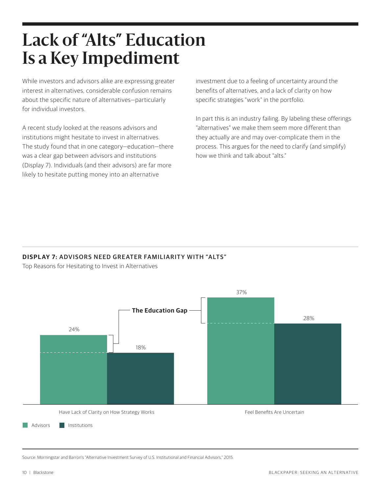# **Lack of "Alts" Education Is a Key Impediment**

While investors and advisors alike are expressing greater interest in alternatives, considerable confusion remains about the specific nature of alternatives—particularly for individual investors.

A recent study looked at the reasons advisors and institutions might hesitate to invest in alternatives. The study found that in one category—education—there was a clear gap between advisors and institutions (Display 7). Individuals (and their advisors) are far more likely to hesitate putting money into an alternative

investment due to a feeling of uncertainty around the benefits of alternatives, and a lack of clarity on how specific strategies "work" in the portfolio.

In part this is an industry failing. By labeling these offerings "alternatives" we make them seem more different than they actually are and may over-complicate them in the process. This argues for the need to clarify (and simplify) how we think and talk about "alts."

#### **DISPLAY 7: ADVISORS NEED GREATER FAMILIARITY WITH "ALTS"**

Top Reasons for Hesitating to Invest in Alternatives



Source: Morningstar and Barron's "Alternative Investment Survey of U.S. Institutional and Financial Advisors," 2015.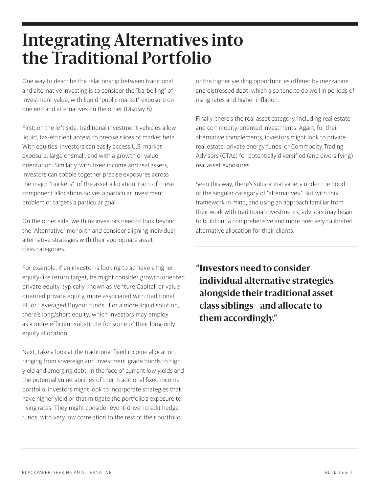### **Integrating Alternatives into the Traditional Portfolio**

One way to describe the relationship between traditional and alternative investing is to consider the "barbelling" of investment value, with liquid "public market" exposure on one end and alternatives on the other (Display 8).

First, on the left side, traditional investment vehicles allow liquid, tax-efficient access to precise slices of market beta. With equities, investors can easily access U.S. market exposure, large or small, and with a growth or value orientation. Similarly, with fixed income and real assets, investors can cobble together precise exposures across the major "buckets" of the asset allocation. Each of these component allocations solves a particular investment problem or targets a particular goal.

On the other side, we think investors need to look beyond the "Alternative" monolith and consider aligning individual alternative strategies with their appropriate asset class categories.

For example, if an investor is looking to achieve a higher equity-like return target, he might consider growth-oriented private equity, typically known as Venture Capital, or valueoriented private equity, more associated with traditional PE or Leveraged Buyout funds. For a more liquid solution, there's long/short equity, which investors may employ as a more efficient substitute for some of their long-only equity allocation.

Next, take a look at the traditional fixed income allocation, ranging from sovereign and investment grade bonds to high yield and emerging debt. In the face of current low yields and the potential vulnerabilities of their traditional fixed income portfolio, investors might look to incorporate strategies that have higher yield or that mitigate the portfolio's exposure to rising rates. They might consider event-driven credit hedge funds, with very low correlation to the rest of their portfolio,

or the higher yielding opportunities offered by mezzanine and distressed debt, which also tend to do well in periods of rising rates and higher inflation.

Finally, there's the real asset category, including real estate and commodity-oriented investments. Again, for their alternative complements, investors might look to private real estate, private energy funds, or Commodity Trading Advisors (CTAs) for potentially diversified (and diversifying) real asset exposures.

Seen this way, there's substantial variety under the hood of the singular category of "alternatives." But with this framework in mind, and using an approach familiar from their work with traditional investments, advisors may begin to build out a comprehensive and more precisely calibrated alternative allocation for their clients.

**"Investors need to consider individual alternative strategies alongside their traditional asset class siblings—and allocate to them accordingly."**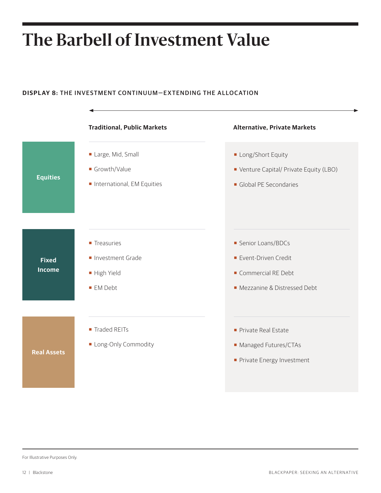# **The Barbell of Investment Value**

#### **DISPL AY 8:** THE INVESTMENT CONTINUUM—EXTENDING THE ALLOCATION



For Illustrative Purposes Only.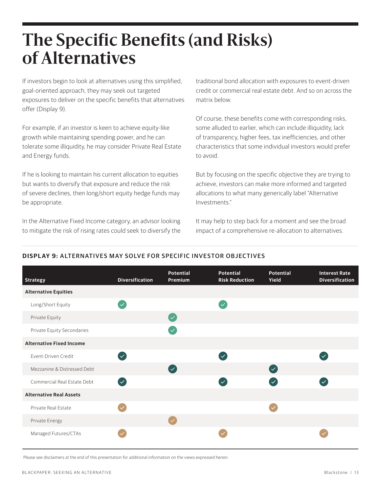### **The Specific Benefits (and Risks) of Alternatives**

If investors begin to look at alternatives using this simplified, goal-oriented approach, they may seek out targeted exposures to deliver on the specific benefits that alternatives offer (Display 9).

For example, if an investor is keen to achieve equity-like growth while maintaining spending power, and he can tolerate some illiquidity, he may consider Private Real Estate and Energy funds.

If he is looking to maintain his current allocation to equities but wants to diversify that exposure and reduce the risk of severe declines, then long/short equity hedge funds may be appropriate.

In the Alternative Fixed Income category, an advisor looking to mitigate the risk of rising rates could seek to diversify the traditional bond allocation with exposures to event-driven credit or commercial real estate debt. And so on across the matrix below.

Of course, these benefits come with corresponding risks, some alluded to earlier, which can include illiquidity, lack of transparency, higher fees, tax inefficiencies, and other characteristics that some individual investors would prefer to avoid.

But by focusing on the specific objective they are trying to achieve, investors can make more informed and targeted allocations to what many generically label "Alternative Investments."

It may help to step back for a moment and see the broad impact of a comprehensive re-allocation to alternatives.

#### **DISPL AY 9:** ALTERNATIVES MAY SOLVE FOR SPECIFIC INVESTOR OBJECTIVES

| <b>Strategy</b>                 | <b>Diversification</b>   | <b>Potential</b><br>Premium       | <b>Potential</b><br><b>Risk Reduction</b> | <b>Potential</b><br>Yield | <b>Interest Rate</b><br><b>Diversification</b> |
|---------------------------------|--------------------------|-----------------------------------|-------------------------------------------|---------------------------|------------------------------------------------|
| <b>Alternative Equities</b>     |                          |                                   |                                           |                           |                                                |
| Long/Short Equity               | $\checkmark$             |                                   | $\overline{\checkmark}$                   |                           |                                                |
| Private Equity                  |                          | $(\vee)$                          |                                           |                           |                                                |
| Private Equity Secondaries      |                          | $\checkmark$                      |                                           |                           |                                                |
| <b>Alternative Fixed Income</b> |                          |                                   |                                           |                           |                                                |
| Event-Driven Credit             | $\overline{\mathcal{L}}$ |                                   | $\overline{\mathcal{S}}$                  |                           | $\overline{\vee}$                              |
| Mezzanine & Distressed Debt     |                          | $\left( \bigtriangledown \right)$ |                                           | $\bigcirc$                |                                                |
| Commercial Real Estate Debt     | $\overline{\mathcal{L}}$ |                                   | $\overline{\mathsf{v}}$                   | $\overline{\mathcal{S}}$  | $\overline{\mathcal{L}}$                       |
| <b>Alternative Real Assets</b>  |                          |                                   |                                           |                           |                                                |
| Private Real Estate             |                          |                                   |                                           |                           |                                                |
| Private Energy                  |                          |                                   |                                           |                           |                                                |
| Managed Futures/CTAs            |                          |                                   |                                           |                           |                                                |

Please see disclaimers at the end of this presentation for additional information on the views expressed herein.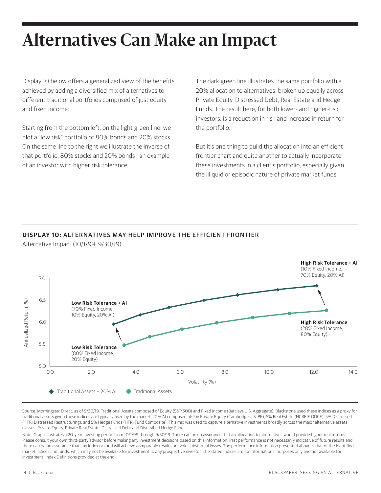# **Alternatives Can Make an Impact**

Display 10 below offers a generalized view of the benefits achieved by adding a diversified mix of alternatives to different traditional portfolios comprised of just equity and fixed income.

Starting from the bottom left, on the light green line, we plot a "low risk" portfolio of 80% bonds and 20% stocks. On the same line to the right we illustrate the inverse of that portfolio, 80% stocks and 20% bonds—an example of an investor with higher risk tolerance.

The dark green line illustrates the same portfolio with a 20% allocation to alternatives, broken up equally across Private Equity, Distressed Debt, Real Estate and Hedge Funds. The result here, for both lower- and higher-risk investors, is a reduction in risk and increase in return for the portfolio.

But it's one thing to build the allocation into an efficient frontier chart and quite another to actually incorporate these investments in a client's portfolio, especially given the illiquid or episodic nature of private market funds.

#### **DISPL AY 10:** ALTERNATIVES MAY HELP IMPROVE THE EFFICIENT FRONTIER



Alternative Impact (10/1/99–9/30/19)

Source: Morningstar Direct, as of 9/30/19. Traditional Assets composed of Equity (S&P 500) and Fixed Income (Barclays U.S. Aggregate). Blackstone used these indices as a proxy for traditional assets given these indices are typically used by the market. 20% AI composed of: 5% Private Equity (Cambridge U.S. PE), 5% Real Estate (NCREIF ODCE), 5% Distressed (HFRI Distressed Restructuring), and 5% Hedge Funds (HFRI Fund Composite). This mix was used to capture alternative investments broadly across the major alternative assets classes: Private Equity, Private Real Estate, Distressed Debt and Diversified Hedge Funds.

Note: Graph illustrates a 20-year investing period from 10/1/99 through 9/30/19. There can be no assurance that an allocation to alternatives would provide higher real returns. Please consult your own third-party advisor before making any investment decisions based on this information. Past performance is not necessarily indicative of future results and there can be no assurance that any index or fund will achieve comparable results or avoid substantial losses. The performance information presented above is that of the identified market indices and funds, which may not be available for investment to any prospective investor. The stated indices are for informational purposes only and not available for investment. Index Definitions provided at the end.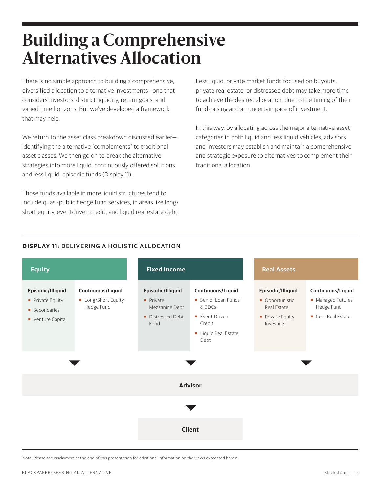### **Building a Comprehensive Alternatives Allocation**

There is no simple approach to building a comprehensive, diversified allocation to alternative investments—one that considers investors' distinct liquidity, return goals, and varied time horizons. But we've developed a framework that may help.

We return to the asset class breakdown discussed earlier identifying the alternative "complements" to traditional asset classes. We then go on to break the alternative strategies into more liquid, continuously offered solutions and less liquid, episodic funds (Display 11).

Those funds available in more liquid structures tend to include quasi-public hedge fund services, in areas like long/ short equity, eventdriven credit, and liquid real estate debt. Less liquid, private market funds focused on buyouts, private real estate, or distressed debt may take more time to achieve the desired allocation, due to the timing of their fund-raising and an uncertain pace of investment.

In this way, by allocating across the major alternative asset categories in both liquid and less liquid vehicles, advisors and investors may establish and maintain a comprehensive and strategic exposure to alternatives to complement their traditional allocation.

#### **DISPL AY 11:** DELIVERING A HOLISTIC ALLOCATION



Note: Please see disclaimers at the end of this presentation for additional information on the views expressed herein.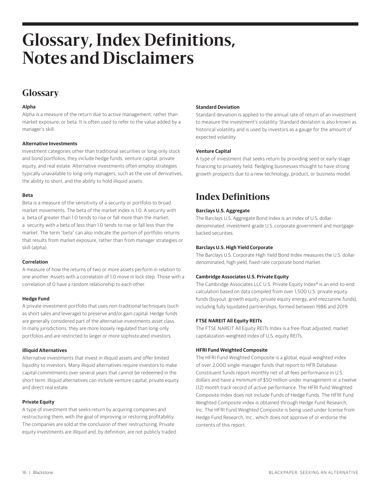### **Glossary, Index Definitions, Notes and Disclaimers**

### **Glossary**

#### **Alpha**

Alpha is a measure of the return due to active management, rather than market exposure, or beta. It is often used to refer to the value added by a manager's skill.

#### **Alternative Investments**

Investment categories other than traditional securities or long-only stock and bond portfolios; they include hedge funds, venture capital, private equity, and real estate. Alternative investments often employ strategies typically unavailable to long-only managers, such as the use of derivatives, the ability to short, and the ability to hold illiquid assets.

#### **Beta**

Beta is a measure of the sensitivity of a security or portfolio to broad market movements. The beta of the market index is 1.0. A security with a beta of greater than 1.0 tends to rise or fall more than the market; a security with a beta of less than 1.0 tends to rise or fall less than the market. The term "beta" can also indicate the portion of portfolio returns that results from market exposure, rather than from manager strategies or skill (alpha).

#### **Correlation**

A measure of how the returns of two or more assets perform in relation to one another. Assets with a correlation of 1.0 move in lock step. Those with a correlation of 0 have a random relationship to each other.

#### **Hedge Fund**

A private investment portfolio that uses non-traditional techniques (such as short sales and leverage) to preserve and/or gain capital. Hedge funds are generally considered part of the alternative investments asset class. In many jurisdictions, they are more loosely regulated than long-only portfolios and are restricted to larger or more sophisticated investors.

#### **Illiquid Alternatives**

Alternative investments that invest in illiquid assets and offer limited liquidity to investors. Many illiquid alternatives require investors to make capital commitments over several years that cannot be redeemed in the short term. Illiquid alternatives can include venture capital, private equity, and direct real estate.

#### **Private Equity**

A type of investment that seeks return by acquiring companies and restructuring them, with the goal of improving or restoring profitability. The companies are sold at the conclusion of their restructuring. Private equity investments are illiquid and, by definition, are not publicly traded.

#### **Standard Deviation**

Standard deviation is applied to the annual rate of return of an investment to measure the investment's volatility. Standard deviation is also known as historical volatility and is used by investors as a gauge for the amount of expected volatility.

#### **Venture Capital**

A type of investment that seeks return by providing seed or early-stage financing to privately held, fledgling businesses thought to have strong growth prospects due to a new technology, product, or business model.

### **Index Definitions**

#### **Barclays U.S. Aggregate**

The Barclays U.S. Aggregate Bond Index is an index of U.S. dollardenominated, investment-grade U.S. corporate government and mortgagebacked securities.

#### **Barclays U.S. High Yield Corporate**

The Barclays U.S. Corporate High Yield Bond Index measures the U.S. dollardenominated, high yield, fixed-rate corporate bond market.

#### **Cambridge Associates U.S. Private Equity**

The Cambridge Associates LLC U.S. Private Equity Index® is an end-to-end calculation based on data compiled from over 1,500 U.S. private equity funds (buyout, growth equity, private equity energy, and mezzanine funds), including fully liquidated partnerships, formed between 1986 and 2019.

#### **FTSE NAREIT All Equity REITs**

The FTSE NAREIT All Equity REITs Index is a free-float adjusted, market capitalization-weighted index of U.S. equity REITs.

#### **HFRI Fund Weighted Composite**

The HFRI Fund Weighted Composite is a global, equal-weighted index of over 2,000 single-manager funds that report to HFR Database. Constituent funds report monthly net of all fees performance in U.S. dollars and have a minimum of \$50 million under management or a twelve (12) month track record of active performance. The HFRI Fund Weighted Composite Index does not include Funds of Hedge Funds. The HFRI Fund Weighted Composite index is obtained through Hedge Fund Research, Inc. The HFRI Fund Weighted Composite is being used under license from Hedge Fund Research, Inc., which does not approve of or endorse the contents of this report.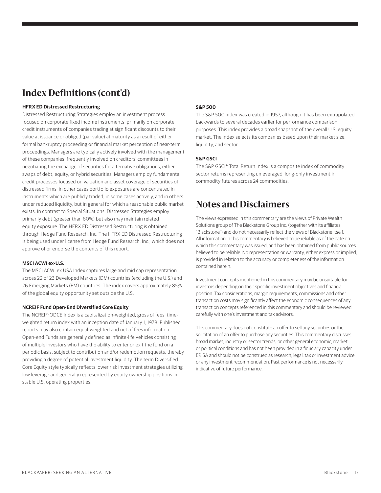### **Index Definitions (cont'd)**

#### **HFRX ED Distressed Restructuring**

Distressed Restructuring Strategies employ an investment process focused on corporate fixed income instruments, primarily on corporate credit instruments of companies trading at significant discounts to their value at issuance or obliged (par value) at maturity as a result of either formal bankruptcy proceeding or financial market perception of near-term proceedings. Managers are typically actively involved with the management of these companies, frequently involved on creditors' committees in negotiating the exchange of securities for alternative obligations, either swaps of debt, equity, or hybrid securities. Managers employ fundamental credit processes focused on valuation and asset coverage of securities of distressed firms; in other cases portfolio exposures are concentrated in instruments which are publicly traded, in some cases actively, and in others under reduced liquidity, but in general for which a reasonable public market exists. In contrast to Special Situations, Distressed Strategies employ primarily debt (greater than 60%) but also may maintain related equity exposure. The HFRX ED Distressed Restructuring is obtained through Hedge Fund Research, Inc. The HFRX ED Distressed Restructuring is being used under license from Hedge Fund Research, Inc., which does not approve of or endorse the contents of this report.

#### **MSCI ACWI ex-U.S.**

The MSCI ACWI ex USA Index captures large and mid cap representation across 22 of 23 Developed Markets (DM) countries (excluding the U.S.) and 26 Emerging Markets (EM) countries. The index covers approximately 85% of the global equity opportunity set outside the U.S.

#### **NCREIF Fund Open-End Diversified Core Equity**

The NCREIF-ODCE Index is a capitalization-weighted, gross of fees, timeweighted return index with an inception date of January 1, 1978. Published reports may also contain equal-weighted and net of fees information. Open-end Funds are generally defined as infinite-life vehicles consisting of multiple investors who have the ability to enter or exit the fund on a periodic basis, subject to contribution and/or redemption requests, thereby providing a degree of potential investment liquidity. The term Diversified Core Equity style typically reflects lower risk investment strategies utilizing low leverage and generally represented by equity ownership positions in stable U.S. operating properties.

#### **S&P 500**

The S&P 500 index was created in 1957, although it has been extrapolated backwards to several decades earlier for performance comparison purposes. This index provides a broad snapshot of the overall U.S. equity market. The index selects its companies based upon their market size, liquidity, and sector.

#### **S&P GSCI**

The S&P GSCI® Total Return Index is a composite index of commodity sector returns representing unleveraged, long-only investment in commodity futures across 24 commodities.

### **Notes and Disclaimers**

The views expressed in this commentary are the views of Private Wealth Solutions group of The Blackstone Group Inc. (together with its affiliates, "Blackstone") and do not necessarily reflect the views of Blackstone itself. All information in this commentary is believed to be reliable as of the date on which this commentary was issued, and has been obtained from public sources believed to be reliable. No representation or warranty, either express or implied, is provided in relation to the accuracy or completeness of the information contained herein.

Investment concepts mentioned in this commentary may be unsuitable for investors depending on their specific investment objectives and financial position. Tax considerations, margin requirements, commissions and other transaction costs may significantly affect the economic consequences of any transaction concepts referenced in this commentary and should be reviewed carefully with one's investment and tax advisors.

This commentary does not constitute an offer to sell any securities or the solicitation of an offer to purchase any securities. This commentary discusses broad market, industry or sector trends, or other general economic, market or political conditions and has not been provided in a fiduciary capacity under ERISA and should not be construed as research, legal, tax or investment advice, or any investment recommendation. Past performance is not necessarily indicative of future performance.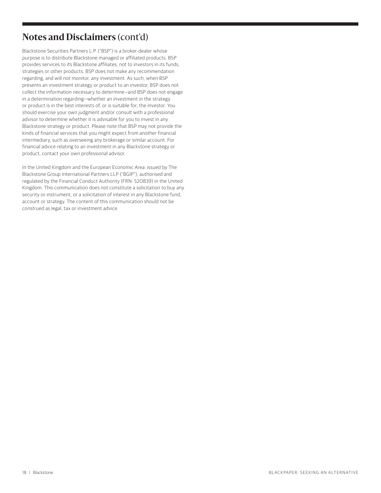### **Notes and Disclaimers** (cont'd)

Blackstone Securities Partners L.P. ("BSP") is a broker-dealer whose purpose is to distribute Blackstone managed or affiliated products. BSP provides services to its Blackstone affiliates, not to investors in its funds, strategies or other products. BSP does not make any recommendation regarding, and will not monitor, any investment. As such, when BSP presents an investment strategy or product to an investor, BSP does not collect the information necessary to determine—and BSP does not engage in a determination regarding—whether an investment in the strategy or product is in the best interests of, or is suitable for, the investor. You should exercise your own judgment and/or consult with a professional advisor to determine whether it is advisable for you to invest in any Blackstone strategy or product. Please note that BSP may not provide the kinds of financial services that you might expect from another financial intermediary, such as overseeing any brokerage or similar account. For financial advice relating to an investment in any Blackstone strategy or product, contact your own professional advisor.

In the United Kingdom and the European Economic Area: issued by The Blackstone Group International Partners LLP ("BGIP"), authorised and regulated by the Financial Conduct Authority (FRN: 520839) in the United Kingdom. This communication does not constitute a solicitation to buy any security or instrument, or a solicitation of interest in any Blackstone fund, account or strategy. The content of this communication should not be construed as legal, tax or investment advice.